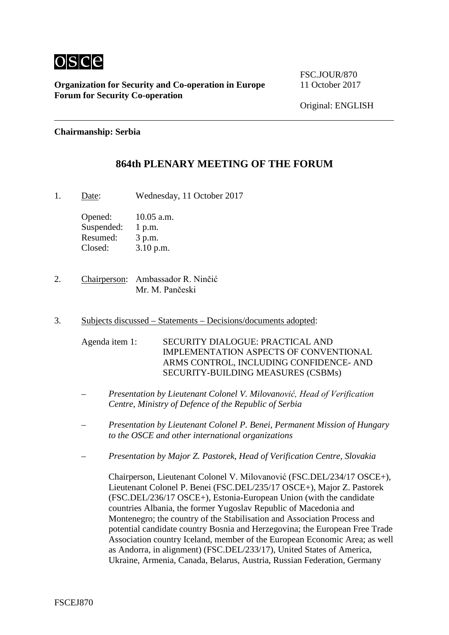

**Organization for Security and Co-operation in Europe** 11 October 2017 **Forum for Security Co-operation**

FSC.JOUR/870

Original: ENGLISH

### **Chairmanship: Serbia**

# **864th PLENARY MEETING OF THE FORUM**

1. Date: Wednesday, 11 October 2017

Opened: 10.05 a.m. Suspended: 1 p.m. Resumed: 3 p.m. Closed: 3.10 p.m.

- 2. Chairperson: Ambassador R. Ninčić Mr. M. Pančeski
- 3. Subjects discussed Statements Decisions/documents adopted:

Agenda item 1: SECURITY DIALOGUE: PRACTICAL AND IMPLEMENTATION АSPECTS OF CONVENTIONAL ARMS CONTROL, INCLUDING CONFIDENCE- AND SECURITY-BUILDING MEASURES (CSBMs)

- *Presentation by Lieutenant Colonel V. Milovanović, Head of Verification Centre, Ministry of Defence of the Republic of Serbia*
- *Presentation by Lieutenant Colonel P. Benei, Permanent Mission of Hungary to the OSCE and other international organizations*
- *Presentation by Major Z. Pastorek, Head of Verification Centre, Slovakia*

Chairperson, Lieutenant Colonel V. Milovanović (FSC.DEL/234/17 OSCE+), Lieutenant Colonel P. Benei (FSC.DEL/235/17 OSCE+), Major Z. Pastorek (FSC.DEL/236/17 OSCE+), Estonia-European Union (with the candidate countries Albania, the former Yugoslav Republic of Macedonia and Montenegro; the country of the Stabilisation and Association Process and potential candidate country Bosnia and Herzegovina; the European Free Trade Association country Iceland, member of the European Economic Area; as well as Andorra, in alignment) (FSC.DEL/233/17), United States of America, Ukraine, Armenia, Canada, Belarus, Austria, Russian Federation, Germany